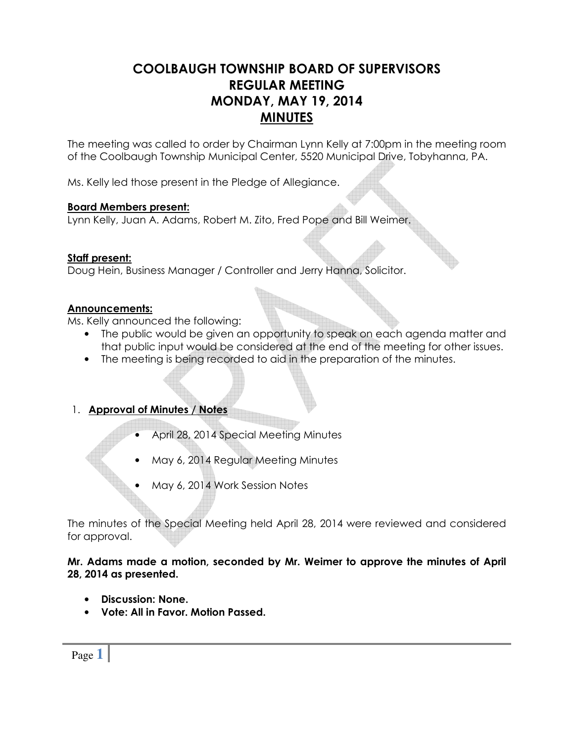# COOLBAUGH TOWNSHIP BOARD OF SUPERVISORS REGULAR MEETING MONDAY, MAY 19, 2014 **MINUTES**

The meeting was called to order by Chairman Lynn Kelly at 7:00pm in the meeting room of the Coolbaugh Township Municipal Center, 5520 Municipal Drive, Tobyhanna, PA.

Ms. Kelly led those present in the Pledge of Allegiance.

### Board Members present:

Lynn Kelly, Juan A. Adams, Robert M. Zito, Fred Pope and Bill Weimer.

### Staff present:

Doug Hein, Business Manager / Controller and Jerry Hanna, Solicitor.

## Announcements:

Ms. Kelly announced the following:

- The public would be given an opportunity to speak on each agenda matter and that public input would be considered at the end of the meeting for other issues.
- The meeting is being recorded to aid in the preparation of the minutes.

## 1. Approval of Minutes / Notes

- April 28, 2014 Special Meeting Minutes
- May 6, 2014 Regular Meeting Minutes
- May 6, 2014 Work Session Notes

The minutes of the Special Meeting held April 28, 2014 were reviewed and considered for approval.

### Mr. Adams made a motion, seconded by Mr. Weimer to approve the minutes of April 28, 2014 as presented.

- Discussion: None.
- Vote: All in Favor. Motion Passed.

Page **1**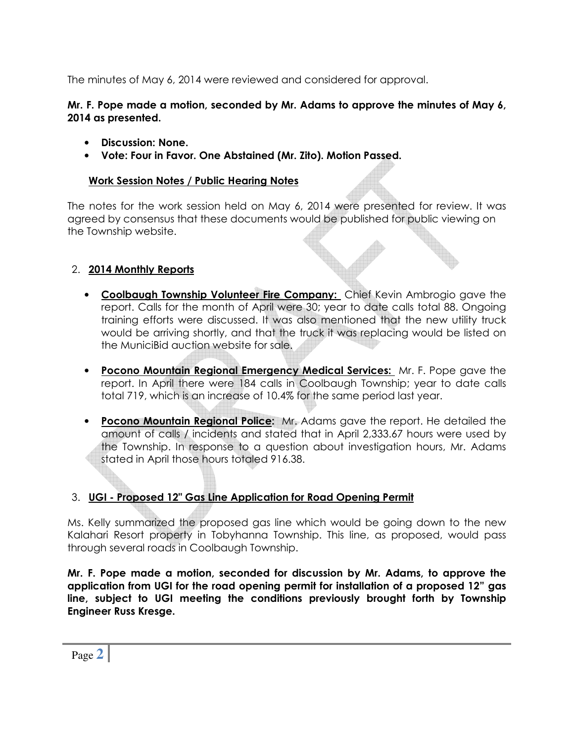The minutes of May 6, 2014 were reviewed and considered for approval.

## Mr. F. Pope made a motion, seconded by Mr. Adams to approve the minutes of May 6, 2014 as presented.

- Discussion: None.
- Vote: Four in Favor. One Abstained (Mr. Zito). Motion Passed.

## Work Session Notes / Public Hearing Notes

The notes for the work session held on May 6, 2014 were presented for review. It was agreed by consensus that these documents would be published for public viewing on the Township website.

## 2. 2014 Monthly Reports

- Coolbaugh Township Volunteer Fire Company: Chief Kevin Ambrogio gave the report. Calls for the month of April were 30; year to date calls total 88. Ongoing training efforts were discussed. It was also mentioned that the new utility truck would be arriving shortly, and that the truck it was replacing would be listed on the MuniciBid auction website for sale.
- Pocono Mountain Regional Emergency Medical Services: Mr. F. Pope gave the report. In April there were 184 calls in Coolbaugh Township; year to date calls total 719, which is an increase of 10.4% for the same period last year.
- Pocono Mountain Regional Police: Mr. Adams gave the report. He detailed the amount of calls / incidents and stated that in April 2,333.67 hours were used by the Township. In response to a question about investigation hours, Mr. Adams stated in April those hours totaled 916.38.

# 3. UGI - Proposed 12" Gas Line Application for Road Opening Permit

Ms. Kelly summarized the proposed gas line which would be going down to the new Kalahari Resort property in Tobyhanna Township. This line, as proposed, would pass through several roads in Coolbaugh Township.

Mr. F. Pope made a motion, seconded for discussion by Mr. Adams, to approve the application from UGI for the road opening permit for installation of a proposed 12" gas line, subject to UGI meeting the conditions previously brought forth by Township Engineer Russ Kresge.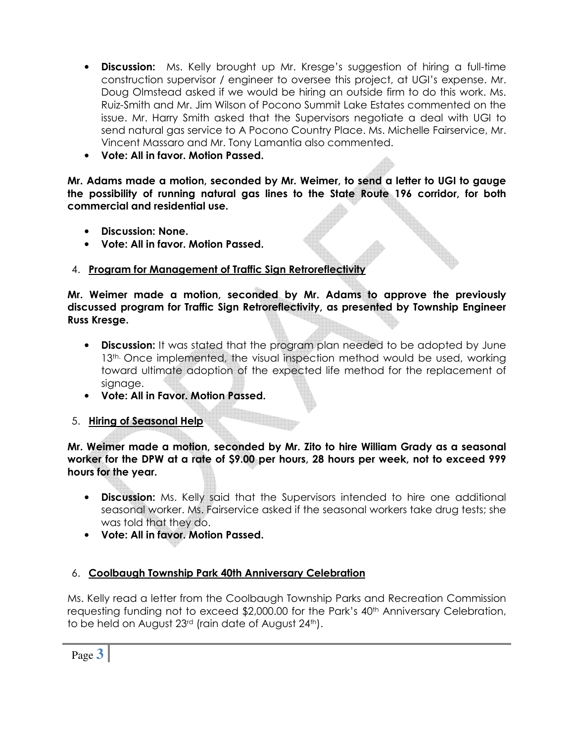- Discussion: Ms. Kelly brought up Mr. Kresge's suggestion of hiring a full-time construction supervisor / engineer to oversee this project, at UGI's expense. Mr. Doug Olmstead asked if we would be hiring an outside firm to do this work. Ms. Ruiz-Smith and Mr. Jim Wilson of Pocono Summit Lake Estates commented on the issue. Mr. Harry Smith asked that the Supervisors negotiate a deal with UGI to send natural gas service to A Pocono Country Place. Ms. Michelle Fairservice, Mr. Vincent Massaro and Mr. Tony Lamantia also commented.
- Vote: All in favor. Motion Passed.

Mr. Adams made a motion, seconded by Mr. Weimer, to send a letter to UGI to gauge the possibility of running natural gas lines to the State Route 196 corridor, for both commercial and residential use.

- Discussion: None.
- Vote: All in favor. Motion Passed.

## 4. Program for Management of Traffic Sign Retroreflectivity

Mr. Weimer made a motion, seconded by Mr. Adams to approve the previously discussed program for Traffic Sign Retroreflectivity, as presented by Township Engineer Russ Kresge.

- **Discussion:** It was stated that the program plan needed to be adopted by June 13<sup>th.</sup> Once implemented, the visual inspection method would be used, working toward ultimate adoption of the expected life method for the replacement of signage.
- Vote: All in Favor. Motion Passed.

## 5. Hiring of Seasonal Help

Mr. Weimer made a motion, seconded by Mr. Zito to hire William Grady as a seasonal worker for the DPW at a rate of \$9.00 per hours, 28 hours per week, not to exceed 999 hours for the year.

- **Discussion:** Ms. Kelly said that the Supervisors intended to hire one additional seasonal worker. Ms. Fairservice asked if the seasonal workers take drug tests; she was told that they do.
- Vote: All in favor. Motion Passed.

# 6. Coolbaugh Township Park 40th Anniversary Celebration

Ms. Kelly read a letter from the Coolbaugh Township Parks and Recreation Commission requesting funding not to exceed \$2,000.00 for the Park's 40<sup>th</sup> Anniversary Celebration, to be held on August 23<sup>rd</sup> (rain date of August 24<sup>th</sup>).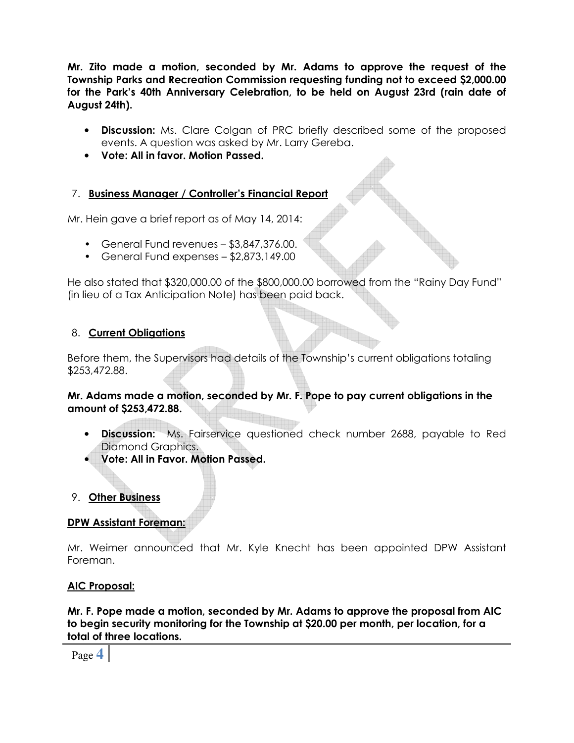Mr. Zito made a motion, seconded by Mr. Adams to approve the request of the Township Parks and Recreation Commission requesting funding not to exceed \$2,000.00 for the Park's 40th Anniversary Celebration, to be held on August 23rd (rain date of August 24th).

- Discussion: Ms. Clare Colgan of PRC briefly described some of the proposed events. A question was asked by Mr. Larry Gereba.
- Vote: All in favor. Motion Passed.

## 7. Business Manager / Controller's Financial Report

Mr. Hein gave a brief report as of May 14, 2014:

- General Fund revenues \$3,847,376.00.
- General Fund expenses \$2,873,149.00

He also stated that \$320,000.00 of the \$800,000.00 borrowed from the "Rainy Day Fund" (in lieu of a Tax Anticipation Note) has been paid back.

## 8. Current Obligations

Before them, the Supervisors had details of the Township's current obligations totaling \$253,472.88.

Mr. Adams made a motion, seconded by Mr. F. Pope to pay current obligations in the amount of \$253,472.88.

- **Discussion:** Ms. Fairservice questioned check number 2688, payable to Red Diamond Graphics.
- Vote: All in Favor. Motion Passed.

## 9. Other Business

# DPW Assistant Foreman:

Mr. Weimer announced that Mr. Kyle Knecht has been appointed DPW Assistant Foreman.

## AIC Proposal:

Mr. F. Pope made a motion, seconded by Mr. Adams to approve the proposal from AIC to begin security monitoring for the Township at \$20.00 per month, per location, for a total of three locations.

Page **4**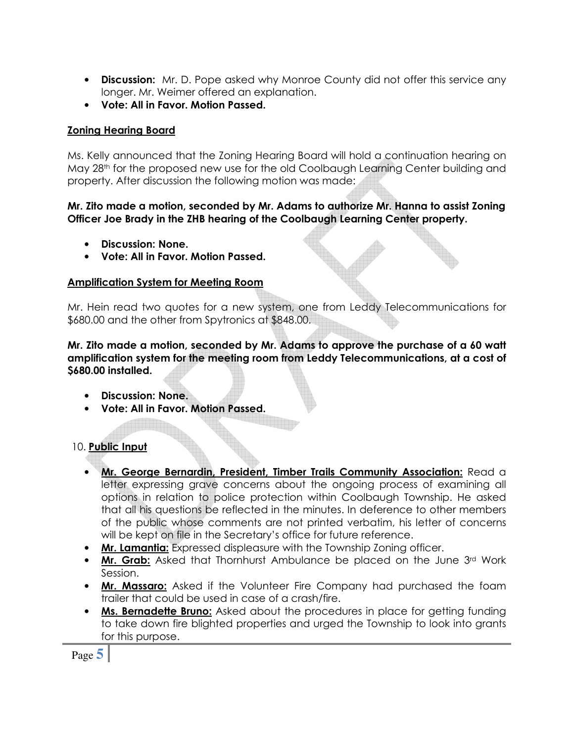- Discussion: Mr. D. Pope asked why Monroe County did not offer this service any longer. Mr. Weimer offered an explanation.
- Vote: All in Favor. Motion Passed.

## Zoning Hearing Board

Ms. Kelly announced that the Zoning Hearing Board will hold a continuation hearing on May 28th for the proposed new use for the old Coolbaugh Learning Center building and property. After discussion the following motion was made:

### Mr. Zito made a motion, seconded by Mr. Adams to authorize Mr. Hanna to assist Zoning Officer Joe Brady in the ZHB hearing of the Coolbaugh Learning Center property.

- Discussion: None.
- Vote: All in Favor. Motion Passed.

## Amplification System for Meeting Room

Mr. Hein read two quotes for a new system, one from Leddy Telecommunications for \$680.00 and the other from Spytronics at \$848.00.

Mr. Zito made a motion, seconded by Mr. Adams to approve the purchase of a 60 watt amplification system for the meeting room from Leddy Telecommunications, at a cost of \$680.00 installed.

- Discussion: None.
- Vote: All in Favor. Motion Passed.

# 10. Public Input

- Mr. George Bernardin, President, Timber Trails Community Association: Read a letter expressing grave concerns about the ongoing process of examining all options in relation to police protection within Coolbaugh Township. He asked that all his questions be reflected in the minutes. In deference to other members of the public whose comments are not printed verbatim, his letter of concerns will be kept on file in the Secretary's office for future reference.
- Mr. Lamantia: Expressed displeasure with the Township Zoning officer.
- Mr. Grab: Asked that Thornhurst Ambulance be placed on the June 3rd Work Session.
- Mr. Massaro: Asked if the Volunteer Fire Company had purchased the foam trailer that could be used in case of a crash/fire.
- Ms. Bernadette Bruno: Asked about the procedures in place for getting funding to take down fire blighted properties and urged the Township to look into grants for this purpose.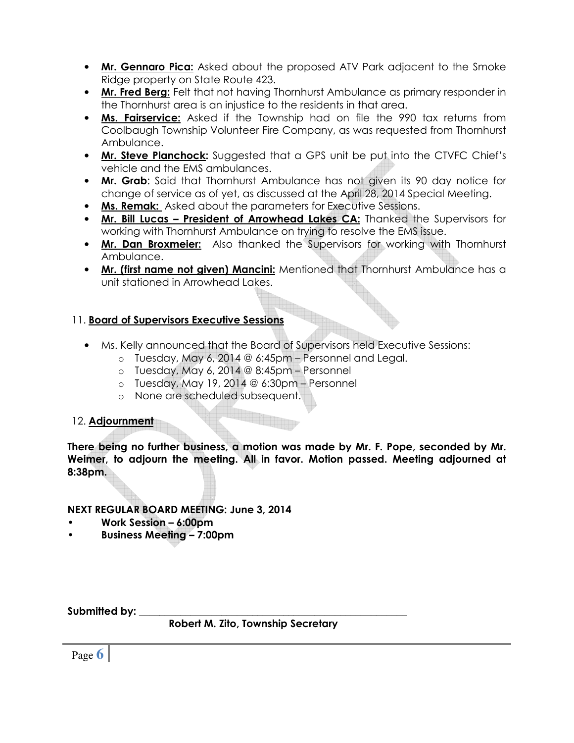- Mr. Gennaro Pica: Asked about the proposed ATV Park adjacent to the Smoke Ridge property on State Route 423.
- Mr. Fred Berg: Felt that not having Thornhurst Ambulance as primary responder in the Thornhurst area is an injustice to the residents in that area.
- Ms. Fairservice: Asked if the Township had on file the 990 tax returns from Coolbaugh Township Volunteer Fire Company, as was requested from Thornhurst Ambulance.
- Mr. Steve Planchock: Suggested that a GPS unit be put into the CTVFC Chief's vehicle and the EMS ambulances.
- Mr. Grab: Said that Thornhurst Ambulance has not given its 90 day notice for change of service as of yet, as discussed at the April 28, 2014 Special Meeting.
- Ms. Remak: Asked about the parameters for Executive Sessions.
- Mr. Bill Lucas President of Arrowhead Lakes CA: Thanked the Supervisors for working with Thornhurst Ambulance on trying to resolve the EMS issue.
- Mr. Dan Broxmeier: Also thanked the Supervisors for working with Thornhurst Ambulance.
- Mr. (first name not given) Mancini: Mentioned that Thornhurst Ambulance has a unit stationed in Arrowhead Lakes.

# 11. Board of Supervisors Executive Sessions

- Ms. Kelly announced that the Board of Supervisors held Executive Sessions:
	- $\circ$  Tuesday, May 6, 2014 @ 6:45pm Personnel and Legal.
	- $o$  Tuesday, May 6, 2014 @ 8:45pm Personnel
	- o Tuesday, May 19, 2014 @ 6:30pm Personnel
	- o None are scheduled subsequent.

# 12. Adjournment

There being no further business, a motion was made by Mr. F. Pope, seconded by Mr. Weimer, to adjourn the meeting. All in favor. Motion passed. Meeting adjourned at 8:38pm.

# NEXT REGULAR BOARD MEETING: June 3, 2014

- Work Session 6:00pm
- Business Meeting 7:00pm

Submitted by:

Robert M. Zito, Township Secretary